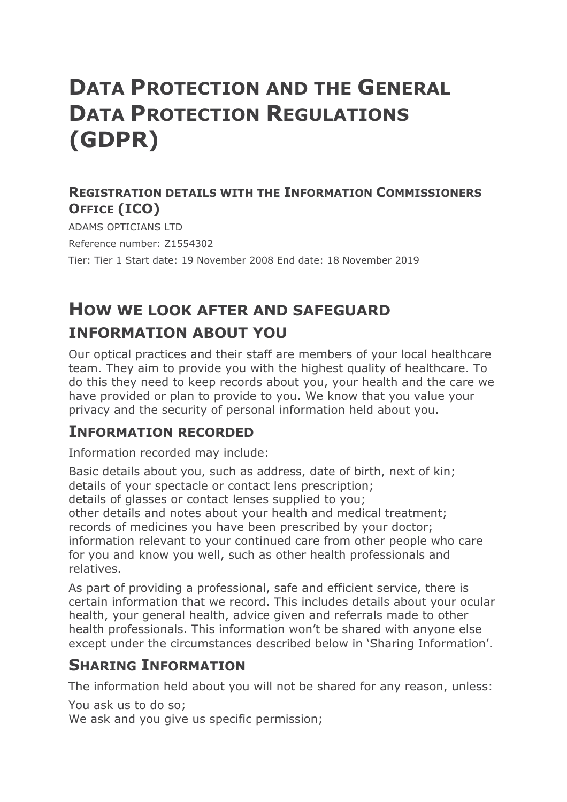# **DATA PROTECTION AND THE GENERAL DATA PROTECTION REGULATIONS (GDPR)**

#### **REGISTRATION DETAILS WITH THE INFORMATION COMMISSIONERS OFFICE (ICO)**

ADAMS OPTICIANS LTD Reference number: Z1554302 Tier: Tier 1 Start date: 19 November 2008 End date: 18 November 2019

# **HOW WE LOOK AFTER AND SAFEGUARD INFORMATION ABOUT YOU**

Our optical practices and their staff are members of your local healthcare team. They aim to provide you with the highest quality of healthcare. To do this they need to keep records about you, your health and the care we have provided or plan to provide to you. We know that you value your privacy and the security of personal information held about you.

#### **INFORMATION RECORDED**

Information recorded may include:

Basic details about you, such as address, date of birth, next of kin; details of your spectacle or contact lens prescription; details of glasses or contact lenses supplied to you; other details and notes about your health and medical treatment; records of medicines you have been prescribed by your doctor; information relevant to your continued care from other people who care for you and know you well, such as other health professionals and relatives.

As part of providing a professional, safe and efficient service, there is certain information that we record. This includes details about your ocular health, your general health, advice given and referrals made to other health professionals. This information won't be shared with anyone else except under the circumstances described below in 'Sharing Information'.

### **SHARING INFORMATION**

The information held about you will not be shared for any reason, unless:

You ask us to do so;

We ask and you give us specific permission;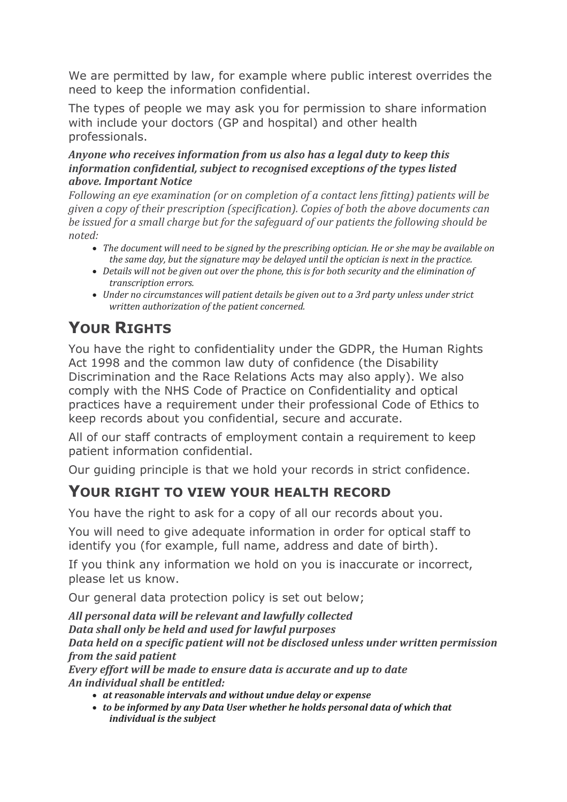We are permitted by law, for example where public interest overrides the need to keep the information confidential.

The types of people we may ask you for permission to share information with include your doctors (GP and hospital) and other health professionals.

#### *Anyone who receives information from us also has a legal duty to keep this information confidential, subject to recognised exceptions of the types listed above. Important Notice*

*Following an eye examination (or on completion of a contact lens fitting) patients will be given a copy of their prescription (specification). Copies of both the above documents can be issued for a small charge but for the safeguard of our patients the following should be noted:*

- *The document will need to be signed by the prescribing optician. He or she may be available on the same day, but the signature may be delayed until the optician is next in the practice.*
- *Details will not be given out over the phone, this is for both security and the elimination of transcription errors.*
- *Under no circumstances will patient details be given out to a 3rd party unless under strict written authorization of the patient concerned.*

## **YOUR RIGHTS**

You have the right to confidentiality under the GDPR, the Human Rights Act 1998 and the common law duty of confidence (the Disability Discrimination and the Race Relations Acts may also apply). We also comply with the NHS Code of Practice on Confidentiality and optical practices have a requirement under their professional Code of Ethics to keep records about you confidential, secure and accurate.

All of our staff contracts of employment contain a requirement to keep patient information confidential.

Our guiding principle is that we hold your records in strict confidence.

### **YOUR RIGHT TO VIEW YOUR HEALTH RECORD**

You have the right to ask for a copy of all our records about you.

You will need to give adequate information in order for optical staff to identify you (for example, full name, address and date of birth).

If you think any information we hold on you is inaccurate or incorrect, please let us know.

Our general data protection policy is set out below;

*All personal data will be relevant and lawfully collected Data shall only be held and used for lawful purposes Data held on a specific patient will not be disclosed unless under written permission from the said patient Every effort will be made to ensure data is accurate and up to date An individual shall be entitled:*

• *at reasonable intervals and without undue delay or expense*

• *to be informed by any Data User whether he holds personal data of which that individual is the subject*